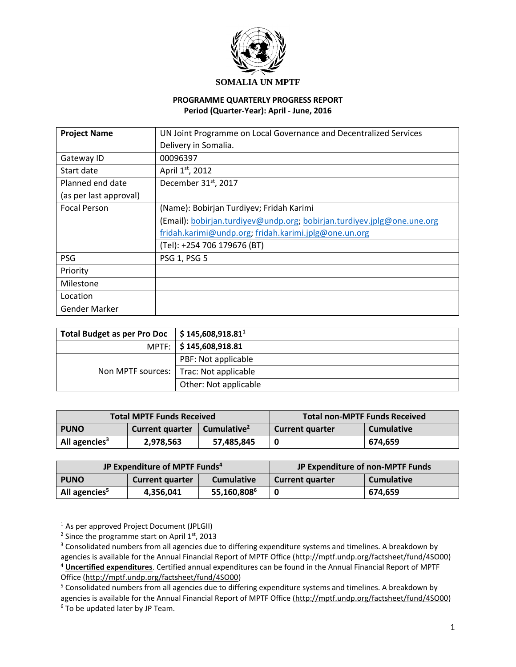

#### **SOMALIA UN MPTF**

#### **PROGRAMME QUARTERLY PROGRESS REPORT Period (Quarter-Year): April - June, 2016**

| <b>Project Name</b>    | UN Joint Programme on Local Governance and Decentralized Services       |  |
|------------------------|-------------------------------------------------------------------------|--|
|                        | Delivery in Somalia.                                                    |  |
| Gateway ID             | 00096397                                                                |  |
| Start date             | April 1st, 2012                                                         |  |
| Planned end date       | December 31 <sup>st</sup> , 2017                                        |  |
| (as per last approval) |                                                                         |  |
| <b>Focal Person</b>    | (Name): Bobirjan Turdiyev; Fridah Karimi                                |  |
|                        | (Email): bobirjan.turdiyev@undp.org; bobirjan.turdiyev.jplg@one.une.org |  |
|                        | fridah.karimi@undp.org; fridah.karimi.jplg@one.un.org                   |  |
|                        | (Tel): +254 706 179676 (BT)                                             |  |
| <b>PSG</b>             | <b>PSG 1, PSG 5</b>                                                     |  |
| Priority               |                                                                         |  |
| Milestone              |                                                                         |  |
| Location               |                                                                         |  |
| Gender Marker          |                                                                         |  |

| <b>Total Budget as per Pro Doc</b> | $\frac{1}{2}$ \$ 145,608,918.81 <sup>1</sup> |
|------------------------------------|----------------------------------------------|
|                                    | MPTF:   \$145,608,918.81                     |
|                                    | PBF: Not applicable                          |
| Non MPTF sources: 1                | Trac: Not applicable                         |
|                                    | Other: Not applicable                        |

| <b>Total MPTF Funds Received</b> |                                                   |            |                        | Total non-MPTF Funds Received |
|----------------------------------|---------------------------------------------------|------------|------------------------|-------------------------------|
| <b>PUNO</b>                      | Cumulative <sup>2</sup><br><b>Current quarter</b> |            | <b>Current quarter</b> | <b>Cumulative</b>             |
| All agencies <sup>3</sup>        | 2,978,563                                         | 57,485,845 |                        | 674.659                       |

| JP Expenditure of MPTF Funds <sup>4</sup> |                        |                   | JP Expenditure of non-MPTF Funds |                   |
|-------------------------------------------|------------------------|-------------------|----------------------------------|-------------------|
| <b>PUNO</b>                               | <b>Current quarter</b> | <b>Cumulative</b> | <b>Current quarter</b>           | <b>Cumulative</b> |
| All agencies <sup>5</sup>                 | 4,356,041              | 55,160,8086       |                                  | 674.659           |

 $<sup>1</sup>$  As per approved Project Document (JPLGII)</sup>

 $\overline{a}$ 

Office [\(http://mptf.undp.org/factsheet/fund/4SO00\)](http://mptf.undp.org/factsheet/fund/4SO00)

<sup>&</sup>lt;sup>2</sup> Since the programme start on April  $1<sup>st</sup>$ , 2013

<sup>&</sup>lt;sup>3</sup> Consolidated numbers from all agencies due to differing expenditure systems and timelines. A breakdown by agencies is available for the Annual Financial Report of MPTF Office [\(http://mptf.undp.org/factsheet/fund/4SO00\)](http://mptf.undp.org/factsheet/fund/4SO00) <sup>4</sup> **Uncertified expenditures**. Certified annual expenditures can be found in the Annual Financial Report of MPTF

<sup>&</sup>lt;sup>5</sup> Consolidated numbers from all agencies due to differing expenditure systems and timelines. A breakdown by agencies is available for the Annual Financial Report of MPTF Office [\(http://mptf.undp.org/factsheet/fund/4SO00\)](http://mptf.undp.org/factsheet/fund/4SO00) <sup>6</sup> To be updated later by JP Team.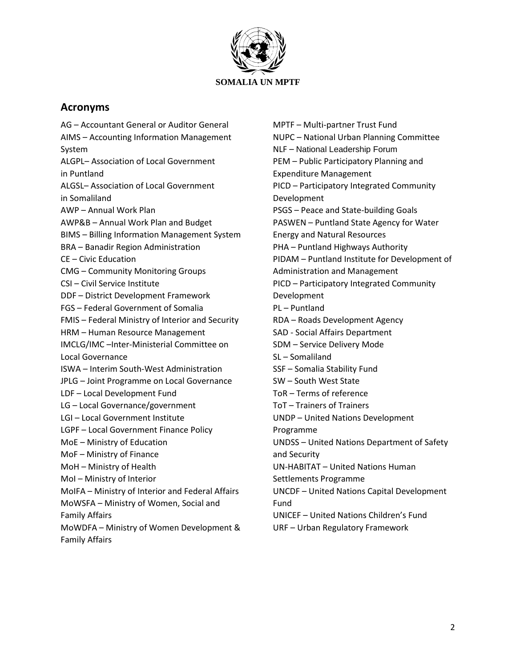

## **Acronyms**

AG – Accountant General or Auditor General AIMS – Accounting Information Management System ALGPL– Association of Local Government in Puntland ALGSL– Association of Local Government in Somaliland AWP – Annual Work Plan AWP&B – Annual Work Plan and Budget BIMS – Billing Information Management System BRA – Banadir Region Administration CE – Civic Education CMG – Community Monitoring Groups CSI – Civil Service Institute DDF – District Development Framework FGS – Federal Government of Somalia FMIS – Federal Ministry of Interior and Security HRM – Human Resource Management IMCLG/IMC –Inter-Ministerial Committee on Local Governance ISWA – Interim South-West Administration JPLG – Joint Programme on Local Governance LDF – Local Development Fund LG – Local Governance/government LGI – Local Government Institute LGPF – Local Government Finance Policy MoE – Ministry of Education MoF – Ministry of Finance MoH – Ministry of Health MoI – Ministry of Interior MoIFA – Ministry of Interior and Federal Affairs MoWSFA – Ministry of Women, Social and Family Affairs MoWDFA – Ministry of Women Development & Family Affairs

MPTF – Multi-partner Trust Fund NUPC – National Urban Planning Committee NLF – National Leadership Forum PEM – Public Participatory Planning and Expenditure Management PICD – Participatory Integrated Community Development PSGS – Peace and State-building Goals PASWEN – Puntland State Agency for Water Energy and Natural Resources PHA – Puntland Highways Authority PIDAM – Puntland Institute for Development of Administration and Management PICD – Participatory Integrated Community Development PL – Puntland RDA – Roads Development Agency SAD - Social Affairs Department SDM – Service Delivery Mode SL – Somaliland SSF – Somalia Stability Fund SW – South West State ToR – Terms of reference ToT – Trainers of Trainers UNDP – United Nations Development Programme UNDSS – United Nations Department of Safety and Security UN-HABITAT – [United Nations](http://en.wikipedia.org/wiki/United_Nations_Human_Settlements_Programme) Human [Settlements Programme](http://en.wikipedia.org/wiki/United_Nations_Human_Settlements_Programme) UNCDF – [United Nations Capital Development](http://www.google.com/url?sa=t&rct=j&q=&esrc=s&source=web&cd=8&ved=0CEwQFjAH&url=http%3A%2F%2Fen.wikipedia.org%2Fwiki%2FUnited_Nations_Capital_Development_Fund&ei=UHUwU-2zCuiV0AXg3IGIDQ&usg=AFQjCNGhXtoyL8EkYdGnzVVxznk42H5aNA&sig2=wG252gtZOuCvHaVjAVrGgA&bvm=bv.62922401,d.d2k)  [Fund](http://www.google.com/url?sa=t&rct=j&q=&esrc=s&source=web&cd=8&ved=0CEwQFjAH&url=http%3A%2F%2Fen.wikipedia.org%2Fwiki%2FUnited_Nations_Capital_Development_Fund&ei=UHUwU-2zCuiV0AXg3IGIDQ&usg=AFQjCNGhXtoyL8EkYdGnzVVxznk42H5aNA&sig2=wG252gtZOuCvHaVjAVrGgA&bvm=bv.62922401,d.d2k) UNICEF – United Nations Children's Fund URF – Urban Regulatory Framework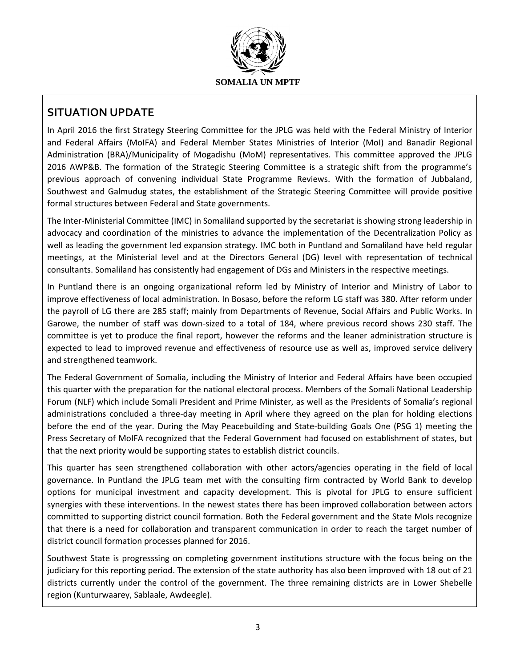

## **SITUATION UPDATE**

In April 2016 the first Strategy Steering Committee for the JPLG was held with the Federal Ministry of Interior and Federal Affairs (MoIFA) and Federal Member States Ministries of Interior (MoI) and Banadir Regional Administration (BRA)/Municipality of Mogadishu (MoM) representatives. This committee approved the JPLG 2016 AWP&B. The formation of the Strategic Steering Committee is a strategic shift from the programme's previous approach of convening individual State Programme Reviews. With the formation of Jubbaland, Southwest and Galmudug states, the establishment of the Strategic Steering Committee will provide positive formal structures between Federal and State governments.

The Inter-Ministerial Committee (IMC) in Somaliland supported by the secretariat is showing strong leadership in advocacy and coordination of the ministries to advance the implementation of the Decentralization Policy as well as leading the government led expansion strategy. IMC both in Puntland and Somaliland have held regular meetings, at the Ministerial level and at the Directors General (DG) level with representation of technical consultants. Somaliland has consistently had engagement of DGs and Ministers in the respective meetings.

In Puntland there is an ongoing organizational reform led by Ministry of Interior and Ministry of Labor to improve effectiveness of local administration. In Bosaso, before the reform LG staff was 380. After reform under the payroll of LG there are 285 staff; mainly from Departments of Revenue, Social Affairs and Public Works. In Garowe, the number of staff was down-sized to a total of 184, where previous record shows 230 staff. The committee is yet to produce the final report, however the reforms and the leaner administration structure is expected to lead to improved revenue and effectiveness of resource use as well as, improved service delivery and strengthened teamwork.

The Federal Government of Somalia, including the Ministry of Interior and Federal Affairs have been occupied this quarter with the preparation for the national electoral process. Members of the Somali National Leadership Forum (NLF) which include Somali President and Prime Minister, as well as the Presidents of Somalia's regional administrations concluded a three-day meeting in April where they agreed on the plan for holding elections before the end of the year. During the May [Peacebuilding and State-building Goals](http://new-deal.so/peacebuilding-and-state-building-goals-psg/) One (PSG 1) meeting the Press Secretary of MoIFA recognized that the Federal Government had focused on establishment of states, but that the next priority would be supporting states to establish district councils.

This quarter has seen strengthened collaboration with other actors/agencies operating in the field of local governance. In Puntland the JPLG team met with the consulting firm contracted by World Bank to develop options for municipal investment and capacity development. This is pivotal for JPLG to ensure sufficient synergies with these interventions. In the newest states there has been improved collaboration between actors committed to supporting district council formation. Both the Federal government and the State MoIs recognize that there is a need for collaboration and transparent communication in order to reach the target number of district council formation processes planned for 2016.

Southwest State is progresssing on completing government institutions structure with the focus being on the judiciary for this reporting period. The extension of the state authority has also been improved with 18 out of 21 districts currently under the control of the government. The three remaining districts are in Lower Shebelle region (Kunturwaarey, Sablaale, Awdeegle).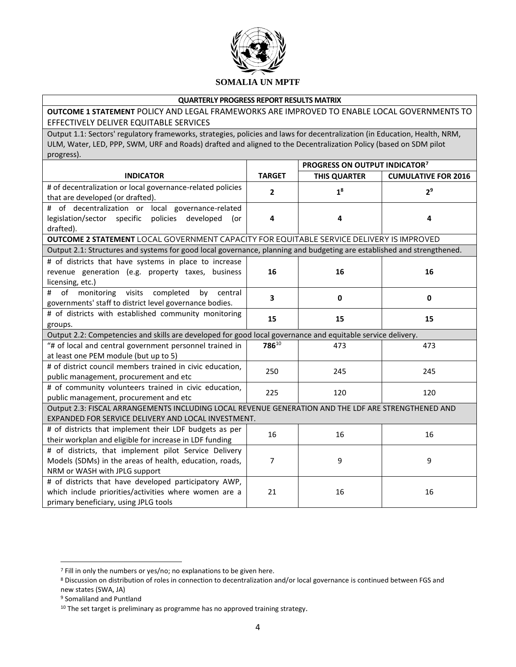

#### **QUARTERLY PROGRESS REPORT RESULTS MATRIX**

**OUTCOME 1 STATEMENT** POLICY AND LEGAL FRAMEWORKS ARE IMPROVED TO ENABLE LOCAL GOVERNMENTS TO EFFECTIVELY DELIVER EQUITABLE SERVICES

Output 1.1: Sectors' regulatory frameworks, strategies, policies and laws for decentralization (in Education, Health, NRM, ULM, Water, LED, PPP, SWM, URF and Roads) drafted and aligned to the Decentralization Policy (based on SDM pilot progress).

|                                                                                                                                                            |               | PROGRESS ON OUTPUT INDICATOR <sup>7</sup> |                            |
|------------------------------------------------------------------------------------------------------------------------------------------------------------|---------------|-------------------------------------------|----------------------------|
| <b>INDICATOR</b>                                                                                                                                           | <b>TARGET</b> | <b>THIS QUARTER</b>                       | <b>CUMULATIVE FOR 2016</b> |
| # of decentralization or local governance-related policies<br>that are developed (or drafted).                                                             | 2             | 1 <sup>8</sup>                            | 2 <sup>9</sup>             |
| # of decentralization or local governance-related<br>legislation/sector specific policies developed<br>(or<br>drafted).                                    | 4             | 4                                         | 4                          |
| OUTCOME 2 STATEMENT LOCAL GOVERNMENT CAPACITY FOR EQUITABLE SERVICE DELIVERY IS IMPROVED                                                                   |               |                                           |                            |
| Output 2.1: Structures and systems for good local governance, planning and budgeting are established and strengthened.                                     |               |                                           |                            |
| # of districts that have systems in place to increase<br>revenue generation (e.g. property taxes, business<br>licensing, etc.)                             | 16            | 16                                        | 16                         |
| of<br>monitoring<br>visits<br>completed<br>central<br>#<br>by<br>governments' staff to district level governance bodies.                                   | 3             | 0                                         | 0                          |
| # of districts with established community monitoring<br>groups.                                                                                            | 15            | 15                                        | 15                         |
| Output 2.2: Competencies and skills are developed for good local governance and equitable service delivery.                                                |               |                                           |                            |
| "# of local and central government personnel trained in<br>at least one PEM module (but up to 5)                                                           | 78610         | 473                                       | 473                        |
| # of district council members trained in civic education,<br>public management, procurement and etc                                                        | 250           | 245                                       | 245                        |
| # of community volunteers trained in civic education,<br>public management, procurement and etc                                                            | 225           | 120                                       | 120                        |
| Output 2.3: FISCAL ARRANGEMENTS INCLUDING LOCAL REVENUE GENERATION AND THE LDF ARE STRENGTHENED AND<br>EXPANDED FOR SERVICE DELIVERY AND LOCAL INVESTMENT. |               |                                           |                            |
| # of districts that implement their LDF budgets as per<br>their workplan and eligible for increase in LDF funding                                          | 16            | 16                                        | 16                         |
| # of districts, that implement pilot Service Delivery<br>Models (SDMs) in the areas of health, education, roads,<br>NRM or WASH with JPLG support          | 7             | 9                                         | 9                          |
| # of districts that have developed participatory AWP,<br>which include priorities/activities where women are a<br>primary beneficiary, using JPLG tools    | 21            | 16                                        | 16                         |

 $\overline{\phantom{a}}$ 

<sup>7</sup> Fill in only the numbers or yes/no; no explanations to be given here.

<sup>8</sup> Discussion on distribution of roles in connection to decentralization and/or local governance is continued between FGS and new states (SWA, JA)

<sup>9</sup> Somaliland and Puntland

<sup>&</sup>lt;sup>10</sup> The set target is preliminary as programme has no approved training strategy.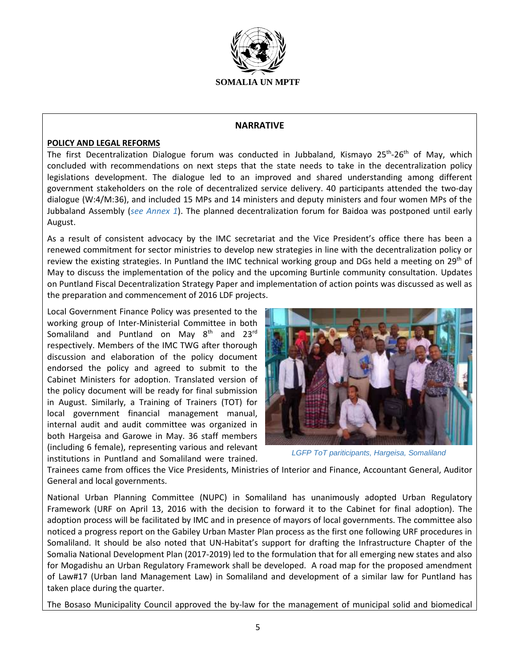

#### **NARRATIVE**

#### **POLICY AND LEGAL REFORMS**

The first Decentralization Dialogue forum was conducted in Jubbaland, Kismayo 25<sup>th</sup>-26<sup>th</sup> of May, which concluded with recommendations on next steps that the state needs to take in the decentralization policy legislations development. The dialogue led to an improved and shared understanding among different government stakeholders on the role of decentralized service delivery. 40 participants attended the two-day dialogue (W:4/M:36), and included 15 MPs and 14 ministers and deputy ministers and four women MPs of the Jubbaland Assembly (*see Annex 1*). The planned decentralization forum for Baidoa was postponed until early August.

As a result of consistent advocacy by the IMC secretariat and the Vice President's office there has been a renewed commitment for sector ministries to develop new strategies in line with the decentralization policy or review the existing strategies. In Puntland the IMC technical working group and DGs held a meeting on 29<sup>th</sup> of May to discuss the implementation of the policy and the upcoming Burtinle community consultation. Updates on Puntland Fiscal Decentralization Strategy Paper and implementation of action points was discussed as well as the preparation and commencement of 2016 LDF projects.

Local Government Finance Policy was presented to the working group of Inter-Ministerial Committee in both Somaliland and Puntland on May  $8<sup>th</sup>$  and  $23<sup>rd</sup>$ respectively. Members of the IMC TWG after thorough discussion and elaboration of the policy document endorsed the policy and agreed to submit to the Cabinet Ministers for adoption. Translated version of the policy document will be ready for final submission in August. Similarly, a Training of Trainers (TOT) for local government financial management manual, internal audit and audit committee was organized in both Hargeisa and Garowe in May. 36 staff members (including 6 female), representing various and relevant institutions in Puntland and Somaliland were trained.



*LGFP ToT pariticipants, Hargeisa, Somaliland* 

Trainees came from offices the Vice Presidents, Ministries of Interior and Finance, Accountant General, Auditor General and local governments.

National Urban Planning Committee (NUPC) in Somaliland has unanimously adopted Urban Regulatory Framework (URF on April 13, 2016 with the decision to forward it to the Cabinet for final adoption). The adoption process will be facilitated by IMC and in presence of mayors of local governments. The committee also noticed a progress report on the Gabiley Urban Master Plan process as the first one following URF procedures in Somaliland. It should be also noted that UN-Habitat's support for drafting the Infrastructure Chapter of the Somalia National Development Plan (2017-2019) led to the formulation that for all emerging new states and also for Mogadishu an Urban Regulatory Framework shall be developed. A road map for the proposed amendment of Law#17 (Urban land Management Law) in Somaliland and development of a similar law for Puntland has taken place during the quarter.

The Bosaso Municipality Council approved the by-law for the management of municipal solid and biomedical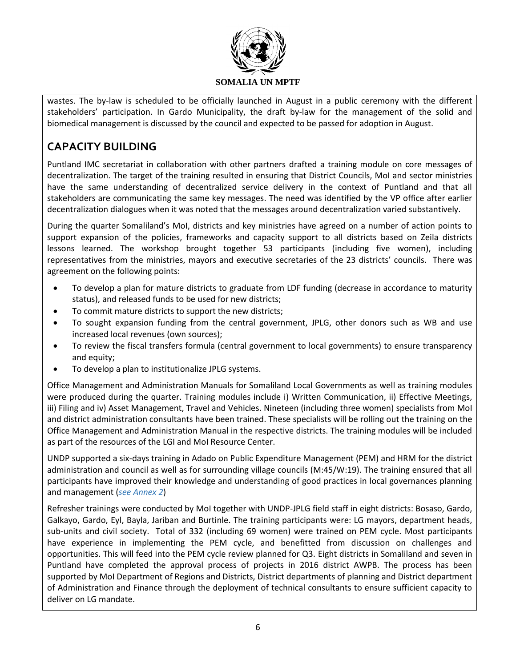

wastes. The by-law is scheduled to be officially launched in August in a public ceremony with the different stakeholders' participation. In Gardo Municipality, the draft by-law for the management of the solid and biomedical management is discussed by the council and expected to be passed for adoption in August.

# **CAPACITY BUILDING**

Puntland IMC secretariat in collaboration with other partners drafted a training module on core messages of decentralization. The target of the training resulted in ensuring that District Councils, MoI and sector ministries have the same understanding of decentralized service delivery in the context of Puntland and that all stakeholders are communicating the same key messages. The need was identified by the VP office after earlier decentralization dialogues when it was noted that the messages around decentralization varied substantively.

During the quarter Somaliland's MoI, districts and key ministries have agreed on a number of action points to support expansion of the policies, frameworks and capacity support to all districts based on Zeila districts lessons learned. The workshop brought together 53 participants (including five women), including representatives from the ministries, mayors and executive secretaries of the 23 districts' councils. There was agreement on the following points:

- To develop a plan for mature districts to graduate from LDF funding (decrease in accordance to maturity status), and released funds to be used for new districts;
- To commit mature districts to support the new districts;
- To sought expansion funding from the central government, JPLG, other donors such as WB and use increased local revenues (own sources);
- To review the fiscal transfers formula (central government to local governments) to ensure transparency and equity;
- To develop a plan to institutionalize JPLG systems.

Office Management and Administration Manuals for Somaliland Local Governments as well as training modules were produced during the quarter. Training modules include i) Written Communication, ii) Effective Meetings, iii) Filing and iv) Asset Management, Travel and Vehicles. Nineteen (including three women) specialists from MoI and district administration consultants have been trained. These specialists will be rolling out the training on the Office Management and Administration Manual in the respective districts. The training modules will be included as part of the resources of the LGI and MoI Resource Center.

UNDP supported a six-days training in Adado on Public Expenditure Management (PEM) and HRM for the district administration and council as well as for surrounding village councils (M:45/W:19). The training ensured that all participants have improved their knowledge and understanding of good practices in local governances planning and management (*see Annex 2*)

Refresher trainings were conducted by MoI together with UNDP-JPLG field staff in eight districts: Bosaso, Gardo, Galkayo, Gardo, Eyl, Bayla, Jariban and Burtinle. The training participants were: LG mayors, department heads, sub-units and civil society. Total of 332 (including 69 women) were trained on PEM cycle. Most participants have experience in implementing the PEM cycle, and benefitted from discussion on challenges and opportunities. This will feed into the PEM cycle review planned for Q3. Eight districts in Somaliland and seven in Puntland have completed the approval process of projects in 2016 district AWPB. The process has been supported by MoI Department of Regions and Districts, District departments of planning and District department of Administration and Finance through the deployment of technical consultants to ensure sufficient capacity to deliver on LG mandate.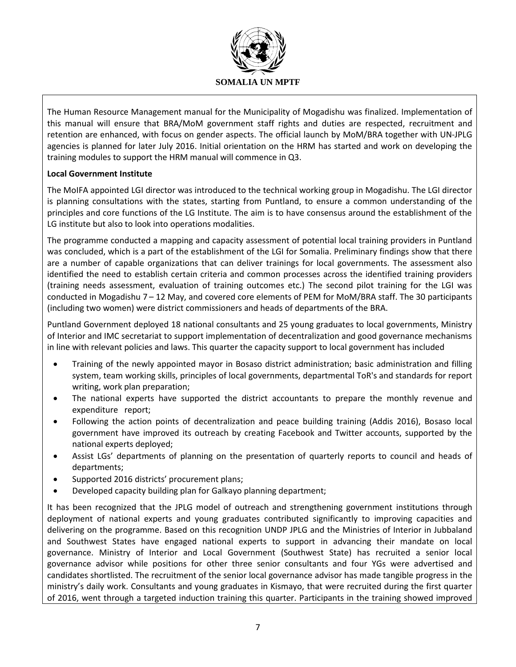

The Human Resource Management manual for the Municipality of Mogadishu was finalized. Implementation of this manual will ensure that BRA/MoM government staff rights and duties are respected, recruitment and retention are enhanced, with focus on gender aspects. The official launch by MoM/BRA together with UN-JPLG agencies is planned for later July 2016. Initial orientation on the HRM has started and work on developing the training modules to support the HRM manual will commence in Q3.

#### **Local Government Institute**

The MoIFA appointed LGI director was introduced to the technical working group in Mogadishu. The LGI director is planning consultations with the states, starting from Puntland, to ensure a common understanding of the principles and core functions of the LG Institute. The aim is to have consensus around the establishment of the LG institute but also to look into operations modalities.

The programme conducted a mapping and capacity assessment of potential local training providers in Puntland was concluded, which is a part of the establishment of the LGI for Somalia. Preliminary findings show that there are a number of capable organizations that can deliver trainings for local governments. The assessment also identified the need to establish certain criteria and common processes across the identified training providers (training needs assessment, evaluation of training outcomes etc.) The second pilot training for the LGI was conducted in Mogadishu 7 – 12 May, and covered core elements of PEM for MoM/BRA staff. The 30 participants (including two women) were district commissioners and heads of departments of the BRA.

Puntland Government deployed 18 national consultants and 25 young graduates to local governments, Ministry of Interior and IMC secretariat to support implementation of decentralization and good governance mechanisms in line with relevant policies and laws. This quarter the capacity support to local government has included

- Training of the newly appointed mayor in Bosaso district administration; basic administration and filling system, team working skills, principles of local governments, departmental ToR's and standards for report writing, work plan preparation;
- The national experts have supported the district accountants to prepare the monthly revenue and expenditure report;
- Following the action points of decentralization and peace building training (Addis 2016), Bosaso local government have improved its outreach by creating Facebook and Twitter accounts, supported by the national experts deployed;
- Assist LGs' departments of planning on the presentation of quarterly reports to council and heads of departments;
- Supported 2016 districts' procurement plans;
- Developed capacity building plan for Galkayo planning department;

It has been recognized that the JPLG model of outreach and strengthening government institutions through deployment of national experts and young graduates contributed significantly to improving capacities and delivering on the programme. Based on this recognition UNDP JPLG and the Ministries of Interior in Jubbaland and Southwest States have engaged national experts to support in advancing their mandate on local governance. Ministry of Interior and Local Government (Southwest State) has recruited a senior local governance advisor while positions for other three senior consultants and four YGs were advertised and candidates shortlisted. The recruitment of the senior local governance advisor has made tangible progress in the ministry's daily work. Consultants and young graduates in Kismayo, that were recruited during the first quarter of 2016, went through a targeted induction training this quarter. Participants in the training showed improved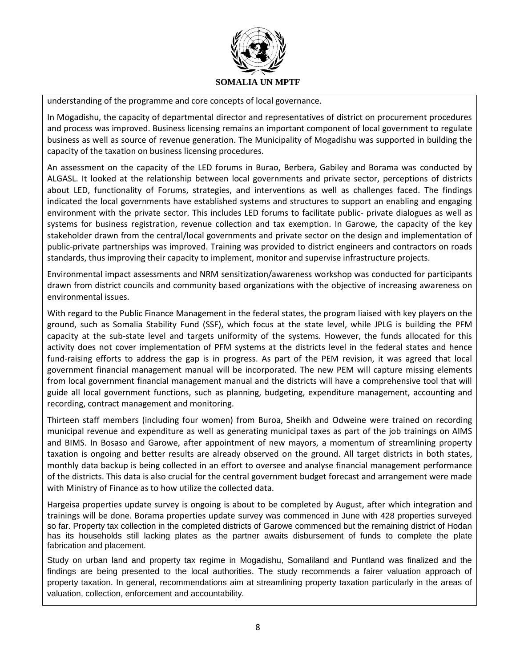

understanding of the programme and core concepts of local governance.

In Mogadishu, the capacity of departmental director and representatives of district on procurement procedures and process was improved. Business licensing remains an important component of local government to regulate business as well as source of revenue generation. The Municipality of Mogadishu was supported in building the capacity of the taxation on business licensing procedures.

An assessment on the capacity of the LED forums in Burao, Berbera, Gabiley and Borama was conducted by ALGASL. It looked at the relationship between local governments and private sector, perceptions of districts about LED, functionality of Forums, strategies, and interventions as well as challenges faced. The findings indicated the local governments have established systems and structures to support an enabling and engaging environment with the private sector. This includes LED forums to facilitate public- private dialogues as well as systems for business registration, revenue collection and tax exemption. In Garowe, the capacity of the key stakeholder drawn from the central/local governments and private sector on the design and implementation of public-private partnerships was improved. Training was provided to district engineers and contractors on roads standards, thus improving their capacity to implement, monitor and supervise infrastructure projects.

Environmental impact assessments and NRM sensitization/awareness workshop was conducted for participants drawn from district councils and community based organizations with the objective of increasing awareness on environmental issues.

With regard to the Public Finance Management in the federal states, the program liaised with key players on the ground, such as Somalia Stability Fund (SSF), which focus at the state level, while JPLG is building the PFM capacity at the sub-state level and targets uniformity of the systems. However, the funds allocated for this activity does not cover implementation of PFM systems at the districts level in the federal states and hence fund-raising efforts to address the gap is in progress. As part of the PEM revision, it was agreed that local government financial management manual will be incorporated. The new PEM will capture missing elements from local government financial management manual and the districts will have a comprehensive tool that will guide all local government functions, such as planning, budgeting, expenditure management, accounting and recording, contract management and monitoring.

Thirteen staff members (including four women) from Buroa, Sheikh and Odweine were trained on recording municipal revenue and expenditure as well as generating municipal taxes as part of the job trainings on AIMS and BIMS. In Bosaso and Garowe, after appointment of new mayors, a momentum of streamlining property taxation is ongoing and better results are already observed on the ground. All target districts in both states, monthly data backup is being collected in an effort to oversee and analyse financial management performance of the districts. This data is also crucial for the central government budget forecast and arrangement were made with Ministry of Finance as to how utilize the collected data.

Hargeisa properties update survey is ongoing is about to be completed by August, after which integration and trainings will be done. Borama properties update survey was commenced in June with 428 properties surveyed so far. Property tax collection in the completed districts of Garowe commenced but the remaining district of Hodan has its households still lacking plates as the partner awaits disbursement of funds to complete the plate fabrication and placement.

Study on urban land and property tax regime in Mogadishu, Somaliland and Puntland was finalized and the findings are being presented to the local authorities. The study recommends a fairer valuation approach of property taxation. In general, recommendations aim at streamlining property taxation particularly in the areas of valuation, collection, enforcement and accountability.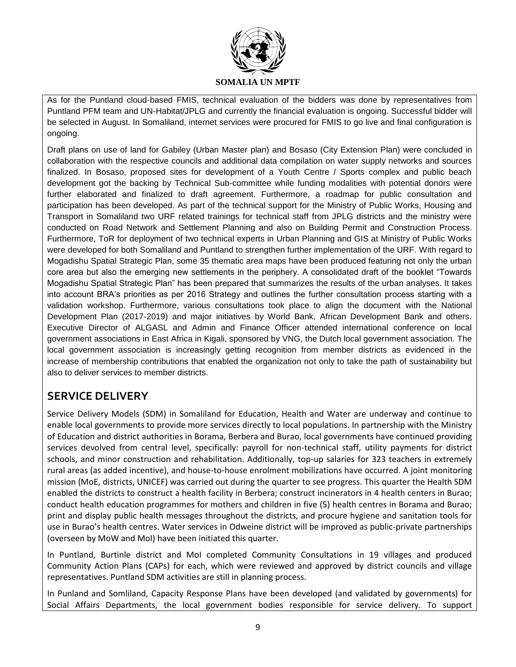

As for the Puntland cloud-based FMIS, technical evaluation of the bidders was done by representatives from Puntland PFM team and UN-Habitat/JPLG and currently the financial evaluation is ongoing. Successful bidder will be selected in August. In Somaliland, internet services were procured for FMIS to go live and final configuration is ongoing.

Draft plans on use of land for Gabiley (Urban Master plan) and Bosaso (City Extension Plan) were concluded in collaboration with the respective councils and additional data compilation on water supply networks and sources finalized. In Bosaso, proposed sites for development of a Youth Centre / Sports complex and public beach development got the backing by Technical Sub-committee while funding modalities with potential donors were further elaborated and finalized to draft agreement. Furthermore, a roadmap for public consultation and participation has been developed. As part of the technical support for the Ministry of Public Works, Housing and Transport in Somaliland two URF related trainings for technical staff from JPLG districts and the ministry were conducted on Road Network and Settlement Planning and also on Building Permit and Construction Process. Furthermore, ToR for deployment of two technical experts in Urban Planning and GIS at Ministry of Public Works were developed for both Somaliland and Puntland to strengthen further implementation of the URF. With regard to Mogadishu Spatial Strategic Plan, some 35 thematic area maps have been produced featuring not only the urban core area but also the emerging new settlements in the periphery. A consolidated draft of the booklet "Towards Mogadishu Spatial Strategic Plan" has been prepared that summarizes the results of the urban analyses. It takes into account BRA's priorities as per 2016 Strategy and outlines the further consultation process starting with a validation workshop. Furthermore, various consultations took place to align the document with the National Development Plan (2017-2019) and major initiatives by World Bank, African Development Bank and others. Executive Director of ALGASL and Admin and Finance Officer attended international conference on local government associations in East Africa in Kigali, sponsored by VNG, the Dutch local government association. The local government association is increasingly getting recognition from member districts as evidenced in the increase of membership contributions that enabled the organization not only to take the path of sustainability but also to deliver services to member districts.

## **SERVICE DELIVERY**

Service Delivery Models (SDM) in Somaliland for Education, Health and Water are underway and continue to enable local governments to provide more services directly to local populations. In partnership with the Ministry of Education and district authorities in Borama, Berbera and Burao, local governments have continued providing services devolved from central level, specifically: payroll for non-technical staff, utility payments for district schools, and minor construction and rehabilitation. Additionally, top-up salaries for 323 teachers in extremely rural areas (as added incentive), and house-to-house enrolment mobilizations have occurred. A joint monitoring mission (MoE, districts, UNICEF) was carried out during the quarter to see progress. This quarter the Health SDM enabled the districts to construct a health facility in Berbera; construct incinerators in 4 health centers in Burao; conduct health education programmes for mothers and children in five (5) health centres in Borama and Burao; print and display public health messages throughout the districts, and procure hygiene and sanitation tools for use in Burao's health centres. Water services in Odweine district will be improved as public-private partnerships (overseen by MoW and MoI) have been initiated this quarter.

In Puntland, Burtinle district and MoI completed Community Consultations in 19 villages and produced Community Action Plans (CAPs) for each, which were reviewed and approved by district councils and village representatives. Puntland SDM activities are still in planning process.

In Punland and Somliland, Capacity Response Plans have been developed (and validated by governments) for Social Affairs Departments, the local government bodies responsible for service delivery. To support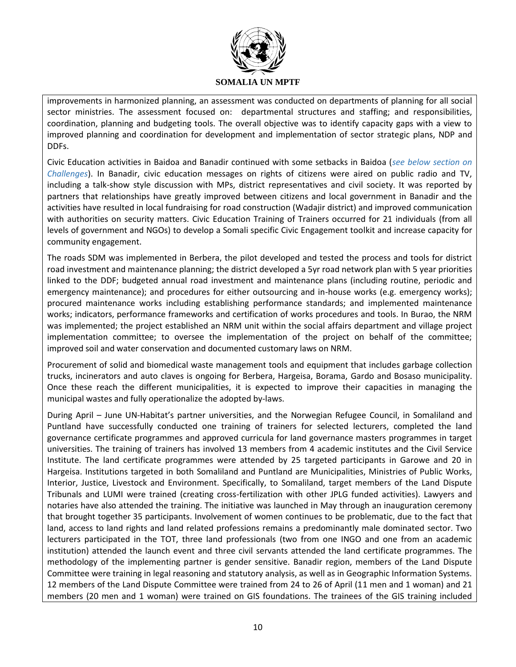

improvements in harmonized planning, an assessment was conducted on departments of planning for all social sector ministries. The assessment focused on: departmental structures and staffing; and responsibilities, coordination, planning and budgeting tools. The overall objective was to identify capacity gaps with a view to improved planning and coordination for development and implementation of sector strategic plans, NDP and DDFs.

Civic Education activities in Baidoa and Banadir continued with some setbacks in Baidoa (*see below section on Challenges*). In Banadir, civic education messages on rights of citizens were aired on public radio and TV, including a talk-show style discussion with MPs, district representatives and civil society. It was reported by partners that relationships have greatly improved between citizens and local government in Banadir and the activities have resulted in local fundraising for road construction (Wadajir district) and improved communication with authorities on security matters. Civic Education Training of Trainers occurred for 21 individuals (from all levels of government and NGOs) to develop a Somali specific Civic Engagement toolkit and increase capacity for community engagement.

The roads SDM was implemented in Berbera, the pilot developed and tested the process and tools for district road investment and maintenance planning; the district developed a 5yr road network plan with 5 year priorities linked to the DDF; budgeted annual road investment and maintenance plans (including routine, periodic and emergency maintenance); and procedures for either outsourcing and in-house works (e.g. emergency works); procured maintenance works including establishing performance standards; and implemented maintenance works; indicators, performance frameworks and certification of works procedures and tools. In Burao, the NRM was implemented; the project established an NRM unit within the social affairs department and village project implementation committee; to oversee the implementation of the project on behalf of the committee; improved soil and water conservation and documented customary laws on NRM.

Procurement of solid and biomedical waste management tools and equipment that includes garbage collection trucks, incinerators and auto claves is ongoing for Berbera, Hargeisa, Borama, Gardo and Bosaso municipality. Once these reach the different municipalities, it is expected to improve their capacities in managing the municipal wastes and fully operationalize the adopted by-laws.

During April – June UN-Habitat's partner universities, and the Norwegian Refugee Council, in Somaliland and Puntland have successfully conducted one training of trainers for selected lecturers, completed the land governance certificate programmes and approved curricula for land governance masters programmes in target universities. The training of trainers has involved 13 members from 4 academic institutes and the Civil Service Institute. The land certificate programmes were attended by 25 targeted participants in Garowe and 20 in Hargeisa. Institutions targeted in both Somaliland and Puntland are Municipalities, Ministries of Public Works, Interior, Justice, Livestock and Environment. Specifically, to Somaliland, target members of the Land Dispute Tribunals and LUMI were trained (creating cross-fertilization with other JPLG funded activities). Lawyers and notaries have also attended the training. The initiative was launched in May through an inauguration ceremony that brought together 35 participants. Involvement of women continues to be problematic, due to the fact that land, access to land rights and land related professions remains a predominantly male dominated sector. Two lecturers participated in the TOT, three land professionals (two from one INGO and one from an academic institution) attended the launch event and three civil servants attended the land certificate programmes. The methodology of the implementing partner is gender sensitive. Banadir region, members of the Land Dispute Committee were training in legal reasoning and statutory analysis, as well as in Geographic Information Systems. 12 members of the Land Dispute Committee were trained from 24 to 26 of April (11 men and 1 woman) and 21 members (20 men and 1 woman) were trained on GIS foundations. The trainees of the GIS training included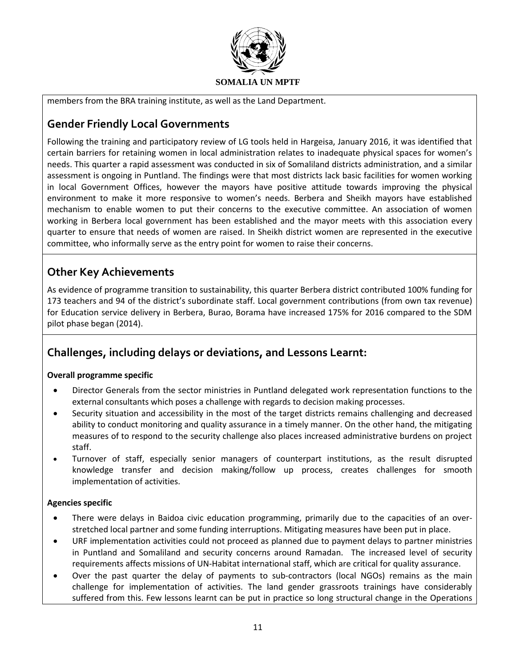

members from the BRA training institute, as well as the Land Department.

# **Gender Friendly Local Governments**

Following the training and participatory review of LG tools held in Hargeisa, January 2016, it was identified that certain barriers for retaining women in local administration relates to inadequate physical spaces for women's needs. This quarter a rapid assessment was conducted in six of Somaliland districts administration, and a similar assessment is ongoing in Puntland. The findings were that most districts lack basic facilities for women working in local Government Offices, however the mayors have positive attitude towards improving the physical environment to make it more responsive to women's needs. Berbera and Sheikh mayors have established mechanism to enable women to put their concerns to the executive committee. An association of women working in Berbera local government has been established and the mayor meets with this association every quarter to ensure that needs of women are raised. In Sheikh district women are represented in the executive committee, who informally serve as the entry point for women to raise their concerns.

# **Other Key Achievements**

As evidence of programme transition to sustainability, this quarter Berbera district contributed 100% funding for 173 teachers and 94 of the district's subordinate staff. Local government contributions (from own tax revenue) for Education service delivery in Berbera, Burao, Borama have increased 175% for 2016 compared to the SDM pilot phase began (2014).

# **Challenges, including delays or deviations, and Lessons Learnt:**

#### **Overall programme specific**

- Director Generals from the sector ministries in Puntland delegated work representation functions to the external consultants which poses a challenge with regards to decision making processes.
- Security situation and accessibility in the most of the target districts remains challenging and decreased ability to conduct monitoring and quality assurance in a timely manner. On the other hand, the mitigating measures of to respond to the security challenge also places increased administrative burdens on project staff.
- Turnover of staff, especially senior managers of counterpart institutions, as the result disrupted knowledge transfer and decision making/follow up process, creates challenges for smooth implementation of activities.

#### **Agencies specific**

- There were delays in Baidoa civic education programming, primarily due to the capacities of an overstretched local partner and some funding interruptions. Mitigating measures have been put in place.
- URF implementation activities could not proceed as planned due to payment delays to partner ministries in Puntland and Somaliland and security concerns around Ramadan. The increased level of security requirements affects missions of UN-Habitat international staff, which are critical for quality assurance.
- Over the past quarter the delay of payments to sub-contractors (local NGOs) remains as the main challenge for implementation of activities. The land gender grassroots trainings have considerably suffered from this. Few lessons learnt can be put in practice so long structural change in the Operations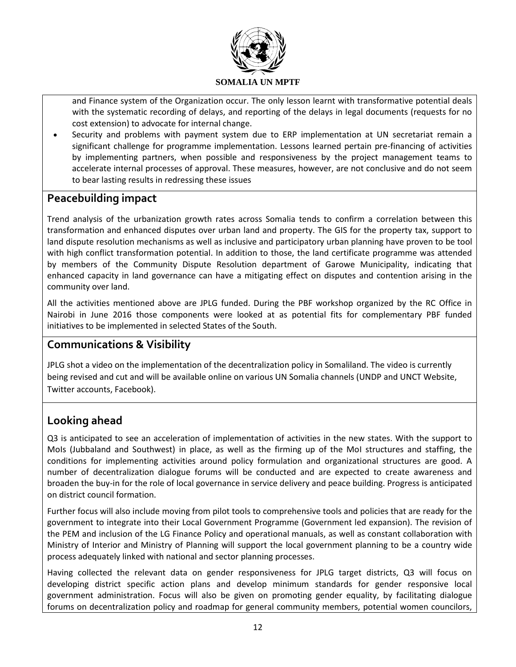

and Finance system of the Organization occur. The only lesson learnt with transformative potential deals with the systematic recording of delays, and reporting of the delays in legal documents (requests for no cost extension) to advocate for internal change.

 Security and problems with payment system due to ERP implementation at UN secretariat remain a significant challenge for programme implementation. Lessons learned pertain pre-financing of activities by implementing partners, when possible and responsiveness by the project management teams to accelerate internal processes of approval. These measures, however, are not conclusive and do not seem to bear lasting results in redressing these issues

# **Peacebuilding impact**

Trend analysis of the urbanization growth rates across Somalia tends to confirm a correlation between this transformation and enhanced disputes over urban land and property. The GIS for the property tax, support to land dispute resolution mechanisms as well as inclusive and participatory urban planning have proven to be tool with high conflict transformation potential. In addition to those, the land certificate programme was attended by members of the Community Dispute Resolution department of Garowe Municipality, indicating that enhanced capacity in land governance can have a mitigating effect on disputes and contention arising in the community over land.

All the activities mentioned above are JPLG funded. During the PBF workshop organized by the RC Office in Nairobi in June 2016 those components were looked at as potential fits for complementary PBF funded initiatives to be implemented in selected States of the South.

## **Communications & Visibility**

JPLG shot a video on the implementation of the decentralization policy in Somaliland. The video is currently being revised and cut and will be available online on various UN Somalia channels (UNDP and UNCT Website, Twitter accounts, Facebook).

# **Looking ahead**

Q3 is anticipated to see an acceleration of implementation of activities in the new states. With the support to MoIs (Jubbaland and Southwest) in place, as well as the firming up of the MoI structures and staffing, the conditions for implementing activities around policy formulation and organizational structures are good. A number of decentralization dialogue forums will be conducted and are expected to create awareness and broaden the buy-in for the role of local governance in service delivery and peace building. Progress is anticipated on district council formation.

Further focus will also include moving from pilot tools to comprehensive tools and policies that are ready for the government to integrate into their Local Government Programme (Government led expansion). The revision of the PEM and inclusion of the LG Finance Policy and operational manuals, as well as constant collaboration with Ministry of Interior and Ministry of Planning will support the local government planning to be a country wide process adequately linked with national and sector planning processes.

Having collected the relevant data on gender responsiveness for JPLG target districts, Q3 will focus on developing district specific action plans and develop minimum standards for gender responsive local government administration. Focus will also be given on promoting gender equality, by facilitating dialogue forums on decentralization policy and roadmap for general community members, potential women councilors,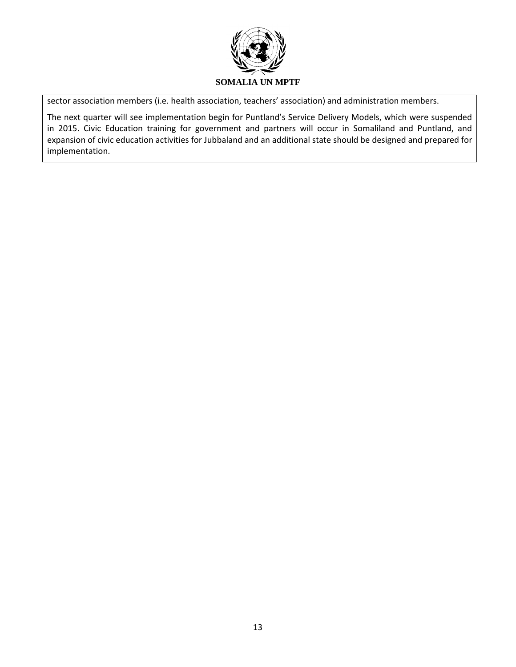

sector association members (i.e. health association, teachers' association) and administration members.

The next quarter will see implementation begin for Puntland's Service Delivery Models, which were suspended in 2015. Civic Education training for government and partners will occur in Somaliland and Puntland, and expansion of civic education activities for Jubbaland and an additional state should be designed and prepared for implementation.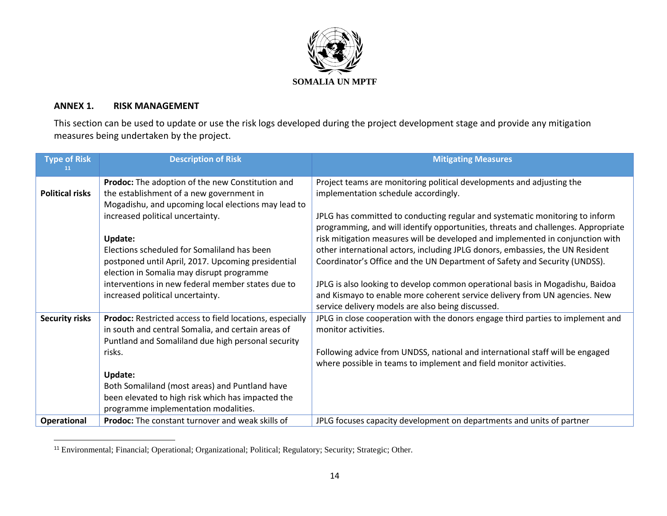

### **ANNEX 1. RISK MANAGEMENT**

 $\overline{a}$ 

This section can be used to update or use the risk logs developed during the project development stage and provide any mitigation measures being undertaken by the project.

| <b>Type of Risk</b>    | <b>Description of Risk</b>                                                                                                                                                                                                                                                                                                                      | <b>Mitigating Measures</b>                                                                                                                                                                                                                                                                                                                                                                                                                                                                                                                                                                                                             |
|------------------------|-------------------------------------------------------------------------------------------------------------------------------------------------------------------------------------------------------------------------------------------------------------------------------------------------------------------------------------------------|----------------------------------------------------------------------------------------------------------------------------------------------------------------------------------------------------------------------------------------------------------------------------------------------------------------------------------------------------------------------------------------------------------------------------------------------------------------------------------------------------------------------------------------------------------------------------------------------------------------------------------------|
| <b>Political risks</b> | Prodoc: The adoption of the new Constitution and<br>the establishment of a new government in<br>Mogadishu, and upcoming local elections may lead to                                                                                                                                                                                             | Project teams are monitoring political developments and adjusting the<br>implementation schedule accordingly.                                                                                                                                                                                                                                                                                                                                                                                                                                                                                                                          |
|                        | increased political uncertainty.<br><b>Update:</b><br>Elections scheduled for Somaliland has been<br>postponed until April, 2017. Upcoming presidential<br>election in Somalia may disrupt programme<br>interventions in new federal member states due to<br>increased political uncertainty.                                                   | JPLG has committed to conducting regular and systematic monitoring to inform<br>programming, and will identify opportunities, threats and challenges. Appropriate<br>risk mitigation measures will be developed and implemented in conjunction with<br>other international actors, including JPLG donors, embassies, the UN Resident<br>Coordinator's Office and the UN Department of Safety and Security (UNDSS).<br>JPLG is also looking to develop common operational basis in Mogadishu, Baidoa<br>and Kismayo to enable more coherent service delivery from UN agencies. New<br>service delivery models are also being discussed. |
| <b>Security risks</b>  | <b>Prodoc:</b> Restricted access to field locations, especially<br>in south and central Somalia, and certain areas of<br>Puntland and Somaliland due high personal security<br>risks.<br>Update:<br>Both Somaliland (most areas) and Puntland have<br>been elevated to high risk which has impacted the<br>programme implementation modalities. | JPLG in close cooperation with the donors engage third parties to implement and<br>monitor activities.<br>Following advice from UNDSS, national and international staff will be engaged<br>where possible in teams to implement and field monitor activities.                                                                                                                                                                                                                                                                                                                                                                          |
| Operational            | Prodoc: The constant turnover and weak skills of                                                                                                                                                                                                                                                                                                | JPLG focuses capacity development on departments and units of partner                                                                                                                                                                                                                                                                                                                                                                                                                                                                                                                                                                  |

<sup>&</sup>lt;sup>11</sup> Environmental; Financial; Operational; Organizational; Political; Regulatory; Security; Strategic; Other.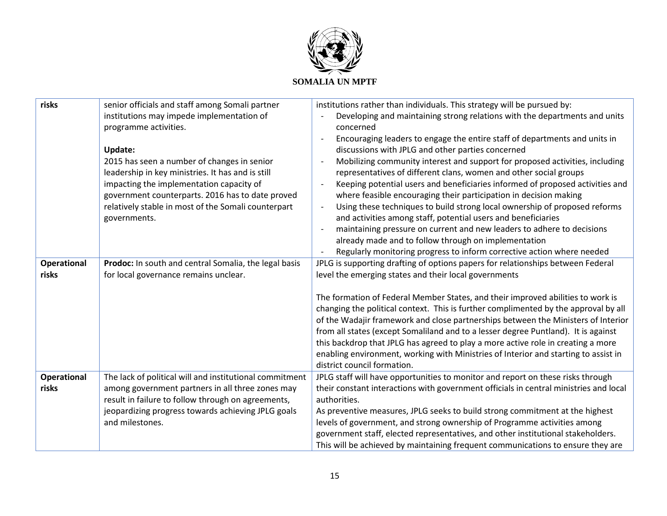

| risks       | senior officials and staff among Somali partner         | institutions rather than individuals. This strategy will be pursued by:               |
|-------------|---------------------------------------------------------|---------------------------------------------------------------------------------------|
|             | institutions may impede implementation of               | Developing and maintaining strong relations with the departments and units            |
|             | programme activities.                                   | concerned                                                                             |
|             |                                                         | Encouraging leaders to engage the entire staff of departments and units in            |
|             | <b>Update:</b>                                          | discussions with JPLG and other parties concerned                                     |
|             | 2015 has seen a number of changes in senior             | Mobilizing community interest and support for proposed activities, including          |
|             | leadership in key ministries. It has and is still       | representatives of different clans, women and other social groups                     |
|             | impacting the implementation capacity of                | Keeping potential users and beneficiaries informed of proposed activities and         |
|             | government counterparts. 2016 has to date proved        | where feasible encouraging their participation in decision making                     |
|             | relatively stable in most of the Somali counterpart     | Using these techniques to build strong local ownership of proposed reforms            |
|             | governments.                                            | and activities among staff, potential users and beneficiaries                         |
|             |                                                         | maintaining pressure on current and new leaders to adhere to decisions                |
|             |                                                         | already made and to follow through on implementation                                  |
|             |                                                         | Regularly monitoring progress to inform corrective action where needed                |
| Operational | Prodoc: In south and central Somalia, the legal basis   | JPLG is supporting drafting of options papers for relationships between Federal       |
| risks       | for local governance remains unclear.                   | level the emerging states and their local governments                                 |
|             |                                                         |                                                                                       |
|             |                                                         | The formation of Federal Member States, and their improved abilities to work is       |
|             |                                                         | changing the political context. This is further complimented by the approval by all   |
|             |                                                         | of the Wadajir framework and close partnerships between the Ministers of Interior     |
|             |                                                         | from all states (except Somaliland and to a lesser degree Puntland). It is against    |
|             |                                                         | this backdrop that JPLG has agreed to play a more active role in creating a more      |
|             |                                                         | enabling environment, working with Ministries of Interior and starting to assist in   |
|             |                                                         | district council formation.                                                           |
| Operational | The lack of political will and institutional commitment | JPLG staff will have opportunities to monitor and report on these risks through       |
| risks       | among government partners in all three zones may        | their constant interactions with government officials in central ministries and local |
|             | result in failure to follow through on agreements,      | authorities.                                                                          |
|             | jeopardizing progress towards achieving JPLG goals      | As preventive measures, JPLG seeks to build strong commitment at the highest          |
|             | and milestones.                                         | levels of government, and strong ownership of Programme activities among              |
|             |                                                         | government staff, elected representatives, and other institutional stakeholders.      |
|             |                                                         | This will be achieved by maintaining frequent communications to ensure they are       |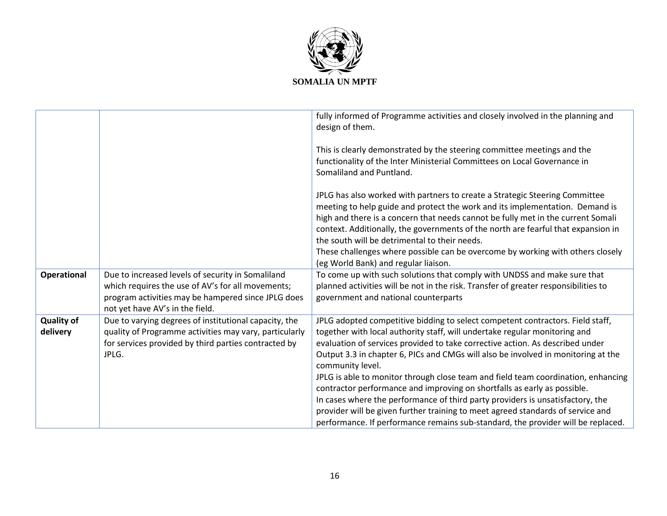

|                               |                                                                                                                                                                                                 | fully informed of Programme activities and closely involved in the planning and<br>design of them.                                                                                                                                                                                                                                                                                                                                                                                                                                                                                                                                                                                                                                                                               |
|-------------------------------|-------------------------------------------------------------------------------------------------------------------------------------------------------------------------------------------------|----------------------------------------------------------------------------------------------------------------------------------------------------------------------------------------------------------------------------------------------------------------------------------------------------------------------------------------------------------------------------------------------------------------------------------------------------------------------------------------------------------------------------------------------------------------------------------------------------------------------------------------------------------------------------------------------------------------------------------------------------------------------------------|
|                               |                                                                                                                                                                                                 | This is clearly demonstrated by the steering committee meetings and the<br>functionality of the Inter Ministerial Committees on Local Governance in<br>Somaliland and Puntland.                                                                                                                                                                                                                                                                                                                                                                                                                                                                                                                                                                                                  |
|                               |                                                                                                                                                                                                 | JPLG has also worked with partners to create a Strategic Steering Committee<br>meeting to help guide and protect the work and its implementation. Demand is<br>high and there is a concern that needs cannot be fully met in the current Somali<br>context. Additionally, the governments of the north are fearful that expansion in<br>the south will be detrimental to their needs.<br>These challenges where possible can be overcome by working with others closely<br>(eg World Bank) and regular liaison.                                                                                                                                                                                                                                                                  |
| Operational                   | Due to increased levels of security in Somaliland<br>which requires the use of AV's for all movements;<br>program activities may be hampered since JPLG does<br>not yet have AV's in the field. | To come up with such solutions that comply with UNDSS and make sure that<br>planned activities will be not in the risk. Transfer of greater responsibilities to<br>government and national counterparts                                                                                                                                                                                                                                                                                                                                                                                                                                                                                                                                                                          |
| <b>Quality of</b><br>delivery | Due to varying degrees of institutional capacity, the<br>quality of Programme activities may vary, particularly<br>for services provided by third parties contracted by<br>JPLG.                | JPLG adopted competitive bidding to select competent contractors. Field staff,<br>together with local authority staff, will undertake regular monitoring and<br>evaluation of services provided to take corrective action. As described under<br>Output 3.3 in chapter 6, PICs and CMGs will also be involved in monitoring at the<br>community level.<br>JPLG is able to monitor through close team and field team coordination, enhancing<br>contractor performance and improving on shortfalls as early as possible.<br>In cases where the performance of third party providers is unsatisfactory, the<br>provider will be given further training to meet agreed standards of service and<br>performance. If performance remains sub-standard, the provider will be replaced. |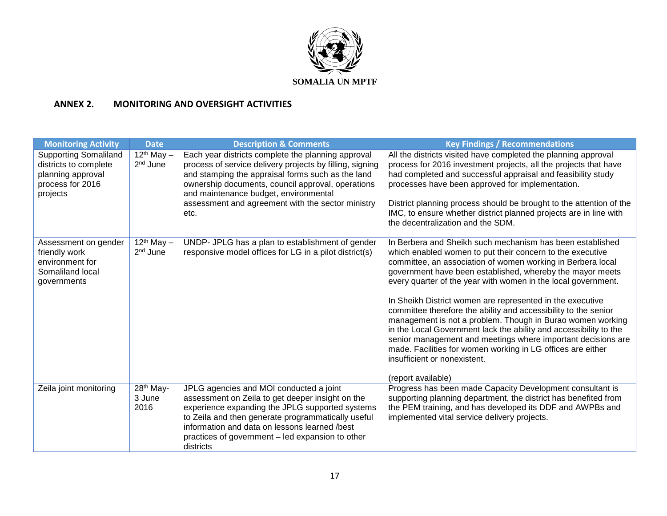

## **ANNEX 2. MONITORING AND OVERSIGHT ACTIVITIES**

| <b>Monitoring Activity</b>                                                                                 | <b>Date</b>                             | <b>Description &amp; Comments</b>                                                                                                                                                                                                                                                                                              | <b>Key Findings / Recommendations</b>                                                                                                                                                                                                                                                                                                                                                                                                                                                                                                                                                                                                                                                                                                                                       |
|------------------------------------------------------------------------------------------------------------|-----------------------------------------|--------------------------------------------------------------------------------------------------------------------------------------------------------------------------------------------------------------------------------------------------------------------------------------------------------------------------------|-----------------------------------------------------------------------------------------------------------------------------------------------------------------------------------------------------------------------------------------------------------------------------------------------------------------------------------------------------------------------------------------------------------------------------------------------------------------------------------------------------------------------------------------------------------------------------------------------------------------------------------------------------------------------------------------------------------------------------------------------------------------------------|
| <b>Supporting Somaliland</b><br>districts to complete<br>planning approval<br>process for 2016<br>projects | $12th$ May $-$<br>2 <sup>nd</sup> June  | Each year districts complete the planning approval<br>process of service delivery projects by filling, signing<br>and stamping the appraisal forms such as the land<br>ownership documents, council approval, operations<br>and maintenance budget, environmental<br>assessment and agreement with the sector ministry<br>etc. | All the districts visited have completed the planning approval<br>process for 2016 investment projects, all the projects that have<br>had completed and successful appraisal and feasibility study<br>processes have been approved for implementation.<br>District planning process should be brought to the attention of the<br>IMC, to ensure whether district planned projects are in line with<br>the decentralization and the SDM.                                                                                                                                                                                                                                                                                                                                     |
| Assessment on gender<br>friendly work<br>environment for<br>Somaliland local<br>governments                | $12th$ May $-$<br>2 <sup>nd</sup> June  | UNDP- JPLG has a plan to establishment of gender<br>responsive model offices for LG in a pilot district(s)                                                                                                                                                                                                                     | In Berbera and Sheikh such mechanism has been established<br>which enabled women to put their concern to the executive<br>committee, an association of women working in Berbera local<br>government have been established, whereby the mayor meets<br>every quarter of the year with women in the local government.<br>In Sheikh District women are represented in the executive<br>committee therefore the ability and accessibility to the senior<br>management is not a problem. Though in Burao women working<br>in the Local Government lack the ability and accessibility to the<br>senior management and meetings where important decisions are<br>made. Facilities for women working in LG offices are either<br>insufficient or nonexistent.<br>(report available) |
| Zeila joint monitoring                                                                                     | 28 <sup>th</sup> May-<br>3 June<br>2016 | JPLG agencies and MOI conducted a joint<br>assessment on Zeila to get deeper insight on the<br>experience expanding the JPLG supported systems<br>to Zeila and then generate programmatically useful<br>information and data on lessons learned /best<br>practices of government – led expansion to other<br>districts         | Progress has been made Capacity Development consultant is<br>supporting planning department, the district has benefited from<br>the PEM training, and has developed its DDF and AWPBs and<br>implemented vital service delivery projects.                                                                                                                                                                                                                                                                                                                                                                                                                                                                                                                                   |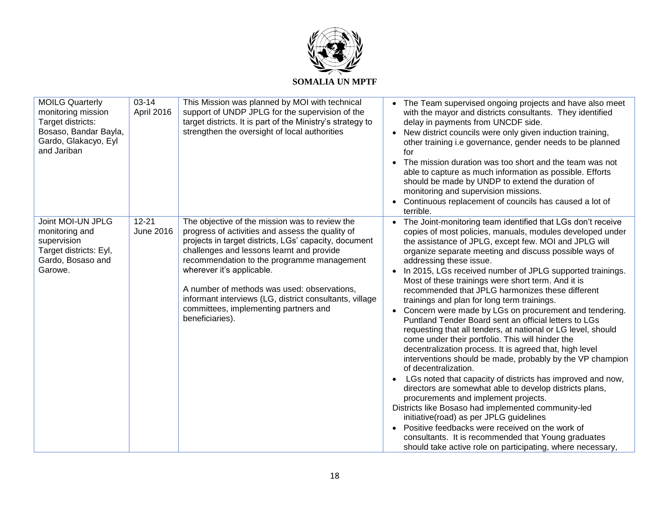

| <b>MOILG Quarterly</b><br>monitoring mission<br>Target districts:<br>Bosaso, Bandar Bayla,<br>Gardo, Glakacyo, Eyl<br>and Jariban | $03 - 14$<br>April 2016 | This Mission was planned by MOI with technical<br>support of UNDP JPLG for the supervision of the<br>target districts. It is part of the Ministry's strategy to<br>strengthen the oversight of local authorities                                                                                                                                                                                                                                          | • The Team supervised ongoing projects and have also meet<br>with the mayor and districts consultants. They identified<br>delay in payments from UNCDF side.<br>New district councils were only given induction training,<br>other training i.e governance, gender needs to be planned<br>for<br>The mission duration was too short and the team was not<br>able to capture as much information as possible. Efforts<br>should be made by UNDP to extend the duration of<br>monitoring and supervision missions.<br>Continuous replacement of councils has caused a lot of<br>terrible.                                                                                                                                                                                                                                                                                                                                                                                                                                                                                                                                                                                                                                                                                                                                          |
|-----------------------------------------------------------------------------------------------------------------------------------|-------------------------|-----------------------------------------------------------------------------------------------------------------------------------------------------------------------------------------------------------------------------------------------------------------------------------------------------------------------------------------------------------------------------------------------------------------------------------------------------------|----------------------------------------------------------------------------------------------------------------------------------------------------------------------------------------------------------------------------------------------------------------------------------------------------------------------------------------------------------------------------------------------------------------------------------------------------------------------------------------------------------------------------------------------------------------------------------------------------------------------------------------------------------------------------------------------------------------------------------------------------------------------------------------------------------------------------------------------------------------------------------------------------------------------------------------------------------------------------------------------------------------------------------------------------------------------------------------------------------------------------------------------------------------------------------------------------------------------------------------------------------------------------------------------------------------------------------|
| Joint MOI-UN JPLG<br>monitoring and<br>supervision<br>Target districts: Eyl,<br>Gardo, Bosaso and<br>Garowe.                      | $12 - 21$<br>June 2016  | The objective of the mission was to review the<br>progress of activities and assess the quality of<br>projects in target districts, LGs' capacity, document<br>challenges and lessons learnt and provide<br>recommendation to the programme management<br>wherever it's applicable.<br>A number of methods was used: observations,<br>informant interviews (LG, district consultants, village<br>committees, implementing partners and<br>beneficiaries). | • The Joint-monitoring team identified that LGs don't receive<br>copies of most policies, manuals, modules developed under<br>the assistance of JPLG, except few. MOI and JPLG will<br>organize separate meeting and discuss possible ways of<br>addressing these issue.<br>In 2015, LGs received number of JPLG supported trainings.<br>Most of these trainings were short term. And it is<br>recommended that JPLG harmonizes these different<br>trainings and plan for long term trainings.<br>Concern were made by LGs on procurement and tendering.<br>Puntland Tender Board sent an official letters to LGs<br>requesting that all tenders, at national or LG level, should<br>come under their portfolio. This will hinder the<br>decentralization process. It is agreed that, high level<br>interventions should be made, probably by the VP champion<br>of decentralization.<br>LGs noted that capacity of districts has improved and now,<br>directors are somewhat able to develop districts plans,<br>procurements and implement projects.<br>Districts like Bosaso had implemented community-led<br>initiative(road) as per JPLG guidelines<br>Positive feedbacks were received on the work of<br>consultants. It is recommended that Young graduates<br>should take active role on participating, where necessary, |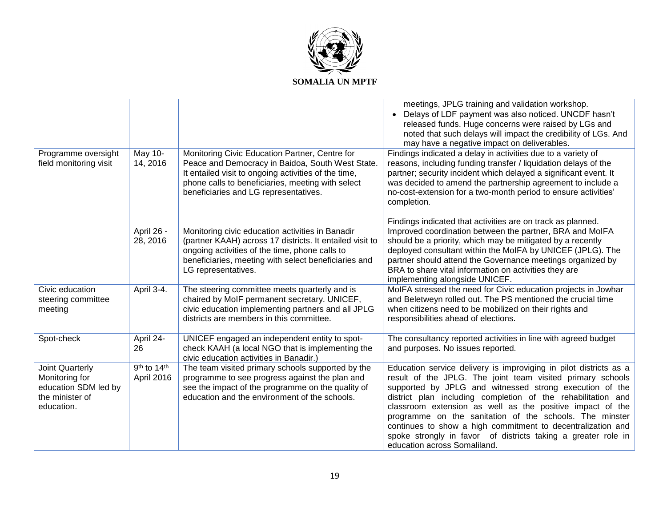

|                                                                                            |                            |                                                                                                                                                                                                                                                          | meetings, JPLG training and validation workshop.<br>Delays of LDF payment was also noticed. UNCDF hasn't<br>released funds. Huge concerns were raised by LGs and<br>noted that such delays will impact the credibility of LGs. And<br>may have a negative impact on deliverables.                                                                                                                                                                                                                                                                  |
|--------------------------------------------------------------------------------------------|----------------------------|----------------------------------------------------------------------------------------------------------------------------------------------------------------------------------------------------------------------------------------------------------|----------------------------------------------------------------------------------------------------------------------------------------------------------------------------------------------------------------------------------------------------------------------------------------------------------------------------------------------------------------------------------------------------------------------------------------------------------------------------------------------------------------------------------------------------|
| Programme oversight<br>field monitoring visit                                              | <b>May 10-</b><br>14, 2016 | Monitoring Civic Education Partner, Centre for<br>Peace and Democracy in Baidoa, South West State.<br>It entailed visit to ongoing activities of the time,<br>phone calls to beneficiaries, meeting with select<br>beneficiaries and LG representatives. | Findings indicated a delay in activities due to a variety of<br>reasons, including funding transfer / liquidation delays of the<br>partner; security incident which delayed a significant event. It<br>was decided to amend the partnership agreement to include a<br>no-cost-extension for a two-month period to ensure activities'<br>completion.                                                                                                                                                                                                |
|                                                                                            | April 26 -<br>28, 2016     | Monitoring civic education activities in Banadir<br>(partner KAAH) across 17 districts. It entailed visit to<br>ongoing activities of the time, phone calls to<br>beneficiaries, meeting with select beneficiaries and<br>LG representatives.            | Findings indicated that activities are on track as planned.<br>Improved coordination between the partner, BRA and MoIFA<br>should be a priority, which may be mitigated by a recently<br>deployed consultant within the MoIFA by UNICEF (JPLG). The<br>partner should attend the Governance meetings organized by<br>BRA to share vital information on activities they are<br>implementing alongside UNICEF.                                                                                                                                       |
| Civic education<br>steering committee<br>meeting                                           | April 3-4.                 | The steering committee meets quarterly and is<br>chaired by MoIF permanent secretary. UNICEF,<br>civic education implementing partners and all JPLG<br>districts are members in this committee.                                                          | MoIFA stressed the need for Civic education projects in Jowhar<br>and Beletweyn rolled out. The PS mentioned the crucial time<br>when citizens need to be mobilized on their rights and<br>responsibilities ahead of elections.                                                                                                                                                                                                                                                                                                                    |
| Spot-check                                                                                 | April 24-<br>26            | UNICEF engaged an independent entity to spot-<br>check KAAH (a local NGO that is implementing the<br>civic education activities in Banadir.)                                                                                                             | The consultancy reported activities in line with agreed budget<br>and purposes. No issues reported.                                                                                                                                                                                                                                                                                                                                                                                                                                                |
| Joint Quarterly<br>Monitoring for<br>education SDM led by<br>the minister of<br>education. | 9th to 14th<br>April 2016  | The team visited primary schools supported by the<br>programme to see progress against the plan and<br>see the impact of the programme on the quality of<br>education and the environment of the schools.                                                | Education service delivery is improviging in pilot districts as a<br>result of the JPLG. The joint team visited primary schools<br>supported by JPLG and witnessed strong execution of the<br>district plan including completion of the rehabilitation and<br>classroom extension as well as the positive impact of the<br>programme on the sanitation of the schools. The minster<br>continues to show a high commitment to decentralization and<br>spoke strongly in favor of districts taking a greater role in<br>education across Somaliland. |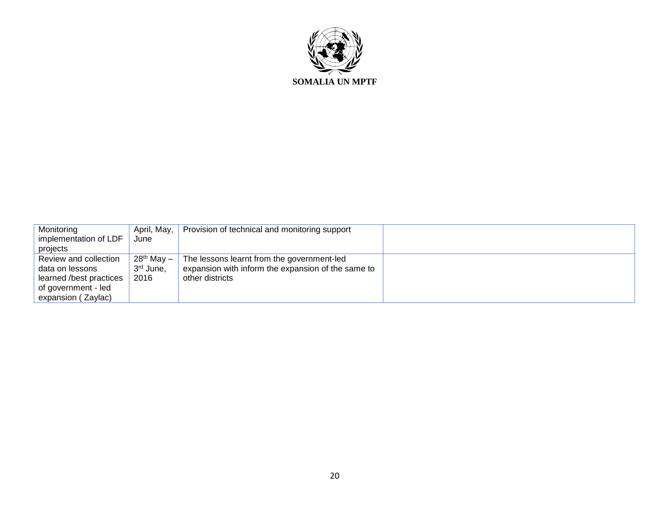

| Monitoring              | April, May,            | Provision of technical and monitoring support      |  |
|-------------------------|------------------------|----------------------------------------------------|--|
| implementation of LDF   | June                   |                                                    |  |
| projects                |                        |                                                    |  |
| Review and collection   | 28 <sup>th</sup> May – | The lessons learnt from the government-led         |  |
| data on lessons         | 3 <sup>rd</sup> June,  | expansion with inform the expansion of the same to |  |
| learned /best practices | 2016                   | other districts                                    |  |
| of government - led     |                        |                                                    |  |
| expansion (Zaylac)      |                        |                                                    |  |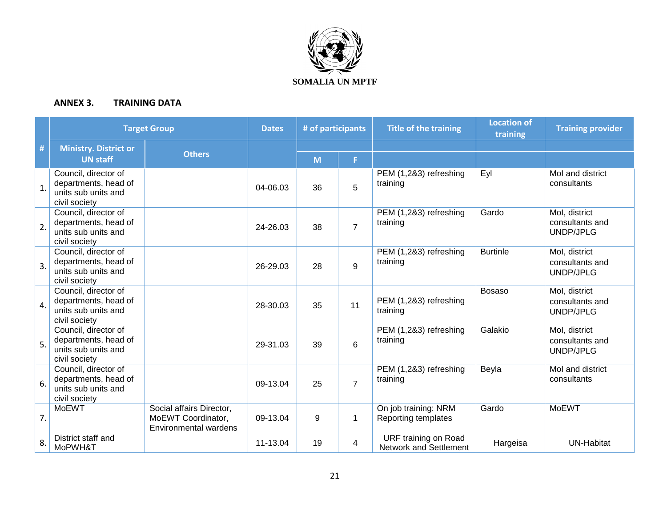

#### **ANNEX 3. TRAINING DATA**

|                  | <b>Target Group</b>                                                                  |                                                                         | <b>Dates</b> | # of participants |                | <b>Title of the training</b>                   | <b>Location of</b><br>training | <b>Training provider</b>                      |
|------------------|--------------------------------------------------------------------------------------|-------------------------------------------------------------------------|--------------|-------------------|----------------|------------------------------------------------|--------------------------------|-----------------------------------------------|
| #                | <b>Ministry. District or</b>                                                         | <b>Others</b>                                                           |              |                   |                |                                                |                                |                                               |
|                  | <b>UN staff</b>                                                                      |                                                                         |              | M                 | F.             |                                                |                                |                                               |
| $\overline{1}$ . | Council, director of<br>departments, head of<br>units sub units and<br>civil society |                                                                         | 04-06.03     | 36                | 5              | PEM (1,2&3) refreshing<br>training             | Eyl                            | Mol and district<br>consultants               |
| 2.               | Council, director of<br>departments, head of<br>units sub units and<br>civil society |                                                                         | 24-26.03     | 38                | $\overline{7}$ | PEM (1,2&3) refreshing<br>training             | Gardo                          | Mol, district<br>consultants and<br>UNDP/JPLG |
| $\overline{3}$ . | Council, director of<br>departments, head of<br>units sub units and<br>civil society |                                                                         | 26-29.03     | 28                | 9              | PEM (1,2&3) refreshing<br>training             | <b>Burtinle</b>                | Mol, district<br>consultants and<br>UNDP/JPLG |
| $\overline{4}$ . | Council, director of<br>departments, head of<br>units sub units and<br>civil society |                                                                         | 28-30.03     | 35                | 11             | PEM (1,2&3) refreshing<br>training             | <b>Bosaso</b>                  | Mol, district<br>consultants and<br>UNDP/JPLG |
| 5.               | Council, director of<br>departments, head of<br>units sub units and<br>civil society |                                                                         | 29-31.03     | 39                | 6              | PEM (1,2&3) refreshing<br>training             | Galakio                        | Mol, district<br>consultants and<br>UNDP/JPLG |
| 6.               | Council, director of<br>departments, head of<br>units sub units and<br>civil society |                                                                         | 09-13.04     | 25                | $\overline{7}$ | PEM (1,2&3) refreshing<br>training             | Beyla                          | Mol and district<br>consultants               |
| 7.               | <b>MoEWT</b>                                                                         | Social affairs Director,<br>MoEWT Coordinator,<br>Environmental wardens | 09-13.04     | 9                 | 1              | On job training: NRM<br>Reporting templates    | Gardo                          | <b>MoEWT</b>                                  |
| 8.               | District staff and<br>MoPWH&T                                                        |                                                                         | 11-13.04     | 19                | 4              | URF training on Road<br>Network and Settlement | Hargeisa                       | <b>UN-Habitat</b>                             |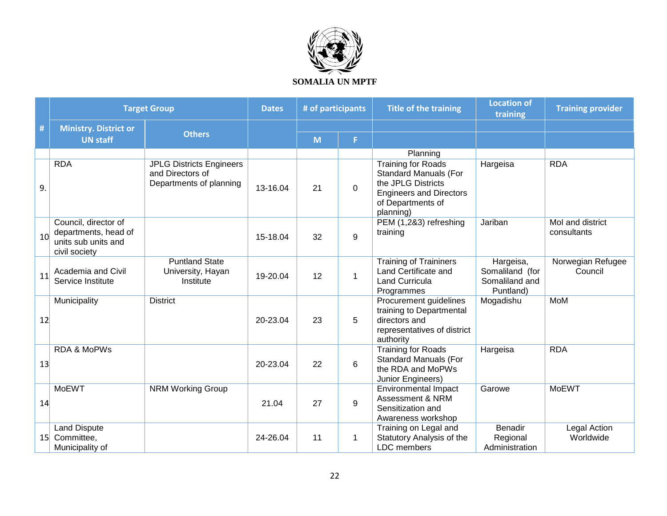

|                 |                                                                                      | <b>Target Group</b>                                                            | <b>Dates</b> | # of participants |          | <b>Title of the training</b>                                                                                                                        | <b>Location of</b><br>training                              | <b>Training provider</b>        |
|-----------------|--------------------------------------------------------------------------------------|--------------------------------------------------------------------------------|--------------|-------------------|----------|-----------------------------------------------------------------------------------------------------------------------------------------------------|-------------------------------------------------------------|---------------------------------|
| $\#$            | <b>Ministry. District or</b>                                                         |                                                                                |              |                   |          |                                                                                                                                                     |                                                             |                                 |
|                 | <b>UN staff</b>                                                                      | <b>Others</b>                                                                  |              | M                 | F        |                                                                                                                                                     |                                                             |                                 |
|                 |                                                                                      |                                                                                |              |                   |          | Planning                                                                                                                                            |                                                             |                                 |
| 9.              | <b>RDA</b>                                                                           | <b>JPLG Districts Engineers</b><br>and Directors of<br>Departments of planning | 13-16.04     | 21                | $\Omega$ | <b>Training for Roads</b><br><b>Standard Manuals (For</b><br>the JPLG Districts<br><b>Engineers and Directors</b><br>of Departments of<br>planning) | Hargeisa                                                    | <b>RDA</b>                      |
| 10 <sup>1</sup> | Council, director of<br>departments, head of<br>units sub units and<br>civil society |                                                                                | 15-18.04     | 32                | 9        | PEM (1,2&3) refreshing<br>training                                                                                                                  | Jariban                                                     | Mol and district<br>consultants |
| 11              | Academia and Civil<br>Service Institute                                              | <b>Puntland State</b><br>University, Hayan<br>Institute                        | 19-20.04     | 12                | 1        | <b>Training of Traininers</b><br>Land Certificate and<br><b>Land Curricula</b><br>Programmes                                                        | Hargeisa,<br>Somaliland (for<br>Somaliland and<br>Puntland) | Norwegian Refugee<br>Council    |
| 12              | Municipality                                                                         | <b>District</b>                                                                | 20-23.04     | 23                | 5        | Procurement guidelines<br>training to Departmental<br>directors and<br>representatives of district<br>authority                                     | Mogadishu                                                   | <b>MoM</b>                      |
| 13              | <b>RDA &amp; MoPWs</b>                                                               |                                                                                | 20-23.04     | 22                | 6        | <b>Training for Roads</b><br><b>Standard Manuals (For</b><br>the RDA and MoPWs<br>Junior Engineers)                                                 | Hargeisa                                                    | <b>RDA</b>                      |
| 14              | <b>MoEWT</b>                                                                         | <b>NRM Working Group</b>                                                       | 21.04        | 27                | 9        | <b>Environmental Impact</b><br>Assessment & NRM<br>Sensitization and<br>Awareness workshop                                                          | Garowe                                                      | <b>MoEWT</b>                    |
| 15 <sub>l</sub> | <b>Land Dispute</b><br>Committee,<br>Municipality of                                 |                                                                                | 24-26.04     | 11                | 1        | Training on Legal and<br>Statutory Analysis of the<br>LDC members                                                                                   | <b>Benadir</b><br>Regional<br>Administration                | Legal Action<br>Worldwide       |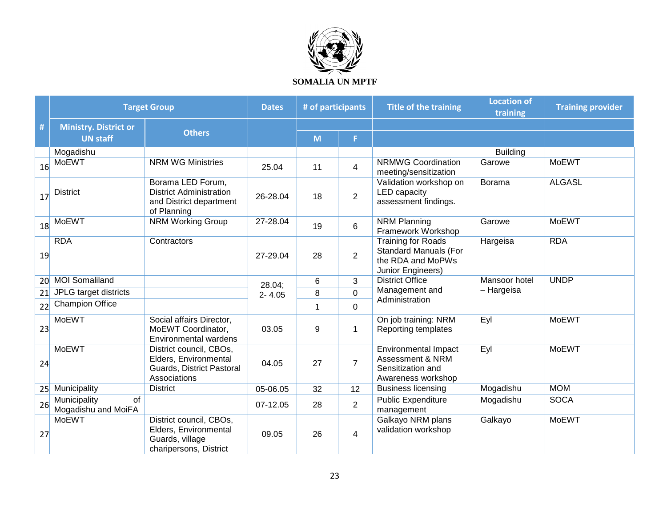

|    | <b>Target Group</b>                                    | <b>Dates</b>                                                                                  | # of participants |             | <b>Title of the training</b> | <b>Location of</b><br>training                                                                      | <b>Training provider</b> |               |
|----|--------------------------------------------------------|-----------------------------------------------------------------------------------------------|-------------------|-------------|------------------------------|-----------------------------------------------------------------------------------------------------|--------------------------|---------------|
| #  | <b>Ministry. District or</b>                           |                                                                                               |                   |             |                              |                                                                                                     |                          |               |
|    | <b>UN staff</b>                                        | <b>Others</b>                                                                                 |                   | M           | F                            |                                                                                                     |                          |               |
|    | Mogadishu                                              |                                                                                               |                   |             |                              |                                                                                                     | <b>Building</b>          |               |
| 16 | <b>MoEWT</b>                                           | <b>NRM WG Ministries</b>                                                                      | 25.04             | 11          | 4                            | <b>NRMWG Coordination</b><br>meeting/sensitization                                                  | Garowe                   | <b>MoEWT</b>  |
| 17 | <b>District</b>                                        | Borama LED Forum,<br><b>District Administration</b><br>and District department<br>of Planning | 26-28.04          | 18          | $\overline{2}$               | Validation workshop on<br><b>LED</b> capacity<br>assessment findings.                               | <b>Borama</b>            | <b>ALGASL</b> |
| 18 | <b>MoEWT</b>                                           | <b>NRM Working Group</b>                                                                      | 27-28.04          | 19          | 6                            | <b>NRM Planning</b><br>Framework Workshop                                                           | Garowe                   | <b>MoEWT</b>  |
| 19 | <b>RDA</b>                                             | Contractors                                                                                   | 27-29.04          | 28          | $\overline{2}$               | <b>Training for Roads</b><br><b>Standard Manuals (For</b><br>the RDA and MoPWs<br>Junior Engineers) | Hargeisa                 | <b>RDA</b>    |
| 20 | <b>MOI Somaliland</b>                                  |                                                                                               | 28.04;            | 6           | 3                            | <b>District Office</b>                                                                              | Mansoor hotel            | <b>UNDP</b>   |
| 21 | JPLG target districts                                  |                                                                                               | $2 - 4.05$        | 8           | $\mathbf 0$                  | Management and                                                                                      | - Hargeisa               |               |
| 22 | <b>Champion Office</b>                                 |                                                                                               |                   | $\mathbf 1$ | $\mathbf 0$                  | Administration                                                                                      |                          |               |
| 23 | <b>MoEWT</b>                                           | Social affairs Director,<br>MoEWT Coordinator,<br><b>Environmental wardens</b>                | 03.05             | 9           | 1                            | On job training: NRM<br>Reporting templates                                                         | Eyl                      | <b>MoEWT</b>  |
| 24 | <b>MoEWT</b>                                           | District council, CBOs,<br>Elders, Environmental<br>Guards, District Pastoral<br>Associations | 04.05             | 27          | $\overline{7}$               | <b>Environmental Impact</b><br>Assessment & NRM<br>Sensitization and<br>Awareness workshop          | Eyl                      | <b>MoEWT</b>  |
|    | 25 Municipality                                        | <b>District</b>                                                                               | 05-06.05          | 32          | 12                           | <b>Business licensing</b>                                                                           | Mogadishu                | <b>MOM</b>    |
| 26 | $\overline{of}$<br>Municipality<br>Mogadishu and MoiFA |                                                                                               | 07-12.05          | 28          | $\overline{2}$               | <b>Public Expenditure</b><br>management                                                             | Mogadishu                | <b>SOCA</b>   |
| 27 | <b>MoEWT</b>                                           | District council, CBOs,<br>Elders, Environmental<br>Guards, village<br>charipersons, District | 09.05             | 26          | 4                            | Galkayo NRM plans<br>validation workshop                                                            | Galkayo                  | <b>MoEWT</b>  |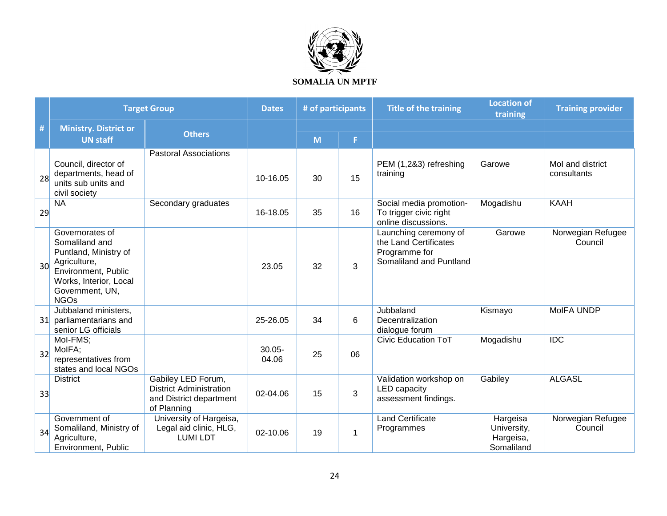

|                 | <b>Target Group</b>                                                                                                                                           |                                                                                                | <b>Dates</b>       | # of participants |    | <b>Title of the training</b>                                                               | <b>Location of</b><br>training                     | <b>Training provider</b>        |
|-----------------|---------------------------------------------------------------------------------------------------------------------------------------------------------------|------------------------------------------------------------------------------------------------|--------------------|-------------------|----|--------------------------------------------------------------------------------------------|----------------------------------------------------|---------------------------------|
| #               | <b>Ministry. District or</b>                                                                                                                                  | <b>Others</b>                                                                                  |                    |                   |    |                                                                                            |                                                    |                                 |
|                 | <b>UN staff</b>                                                                                                                                               |                                                                                                |                    | M                 | F. |                                                                                            |                                                    |                                 |
|                 |                                                                                                                                                               | <b>Pastoral Associations</b>                                                                   |                    |                   |    |                                                                                            |                                                    |                                 |
| 28              | Council, director of<br>departments, head of<br>units sub units and<br>civil society                                                                          |                                                                                                | 10-16.05           | 30                | 15 | PEM (1,2&3) refreshing<br>training                                                         | Garowe                                             | Mol and district<br>consultants |
| 29              | <b>NA</b>                                                                                                                                                     | Secondary graduates                                                                            | 16-18.05           | 35                | 16 | Social media promotion-<br>To trigger civic right<br>online discussions.                   | Mogadishu                                          | <b>KAAH</b>                     |
| 30 <sup>l</sup> | Governorates of<br>Somaliland and<br>Puntland, Ministry of<br>Agriculture,<br>Environment, Public<br>Works, Interior, Local<br>Government, UN,<br><b>NGOs</b> |                                                                                                | 23.05              | 32                | 3  | Launching ceremony of<br>the Land Certificates<br>Programme for<br>Somaliland and Puntland | Garowe                                             | Norwegian Refugee<br>Council    |
|                 | Jubbaland ministers,<br>31 parliamentarians and<br>senior LG officials                                                                                        |                                                                                                | 25-26.05           | 34                | 6  | Jubbaland<br>Decentralization<br>dialogue forum                                            | Kismayo                                            | MoIFA UNDP                      |
| 32              | Mol-FMS:<br>MoIFA;<br>representatives from<br>states and local NGOs                                                                                           |                                                                                                | $30.05 -$<br>04.06 | 25                | 06 | <b>Civic Education ToT</b>                                                                 | Mogadishu                                          | IDC                             |
| 33              | <b>District</b>                                                                                                                                               | Gabiley LED Forum,<br><b>District Administration</b><br>and District department<br>of Planning | 02-04.06           | 15                | 3  | Validation workshop on<br><b>LED</b> capacity<br>assessment findings.                      | Gabiley                                            | <b>ALGASL</b>                   |
| 34              | Government of<br>Somaliland, Ministry of<br>Agriculture,<br>Environment, Public                                                                               | University of Hargeisa,<br>Legal aid clinic, HLG,<br><b>LUMI LDT</b>                           | 02-10.06           | 19                | 1  | <b>Land Certificate</b><br>Programmes                                                      | Hargeisa<br>University,<br>Hargeisa,<br>Somaliland | Norwegian Refugee<br>Council    |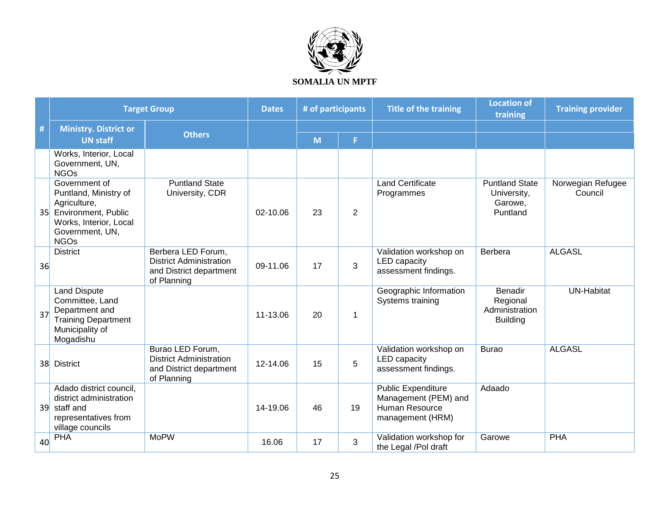

|                 | <b>Target Group</b>                                                                                                                              |                                                                                                | <b>Dates</b> | # of participants |                | <b>Title of the training</b>                                                            | <b>Location of</b><br>training                                  | <b>Training provider</b>     |
|-----------------|--------------------------------------------------------------------------------------------------------------------------------------------------|------------------------------------------------------------------------------------------------|--------------|-------------------|----------------|-----------------------------------------------------------------------------------------|-----------------------------------------------------------------|------------------------------|
| #               | <b>Ministry. District or</b>                                                                                                                     |                                                                                                |              |                   |                |                                                                                         |                                                                 |                              |
|                 | <b>UN staff</b>                                                                                                                                  | <b>Others</b>                                                                                  |              | M                 | F              |                                                                                         |                                                                 |                              |
|                 | Works, Interior, Local<br>Government, UN,<br><b>NGOs</b>                                                                                         |                                                                                                |              |                   |                |                                                                                         |                                                                 |                              |
| 35              | Government of<br>Puntland, Ministry of<br>Agriculture,<br><b>Environment, Public</b><br>Works, Interior, Local<br>Government, UN,<br><b>NGOs</b> | <b>Puntland State</b><br>University, CDR                                                       | 02-10.06     | 23                | $\overline{2}$ | <b>Land Certificate</b><br>Programmes                                                   | <b>Puntland State</b><br>University,<br>Garowe,<br>Puntland     | Norwegian Refugee<br>Council |
| 36              | <b>District</b>                                                                                                                                  | Berbera LED Forum,<br><b>District Administration</b><br>and District department<br>of Planning | 09-11.06     | 17                | 3              | Validation workshop on<br><b>LED</b> capacity<br>assessment findings.                   | Berbera                                                         | <b>ALGASL</b>                |
| 37              | <b>Land Dispute</b><br>Committee, Land<br>Department and<br><b>Training Department</b><br>Municipality of<br>Mogadishu                           |                                                                                                | 11-13.06     | 20                | 1              | Geographic Information<br>Systems training                                              | <b>Benadir</b><br>Regional<br>Administration<br><b>Building</b> | <b>UN-Habitat</b>            |
| 38 <sup>2</sup> | <b>District</b>                                                                                                                                  | Burao LED Forum,<br><b>District Administration</b><br>and District department<br>of Planning   | 12-14.06     | 15                | 5              | Validation workshop on<br><b>LED</b> capacity<br>assessment findings.                   | <b>Burao</b>                                                    | <b>ALGASL</b>                |
| 39 <sup>°</sup> | Adado district council,<br>district administration<br>staff and<br>representatives from<br>village councils                                      |                                                                                                | 14-19.06     | 46                | 19             | <b>Public Expenditure</b><br>Management (PEM) and<br>Human Resource<br>management (HRM) | Adaado                                                          |                              |
| 40              | <b>PHA</b>                                                                                                                                       | <b>MoPW</b>                                                                                    | 16.06        | 17                | 3              | Validation workshop for<br>the Legal /Pol draft                                         | Garowe                                                          | <b>PHA</b>                   |